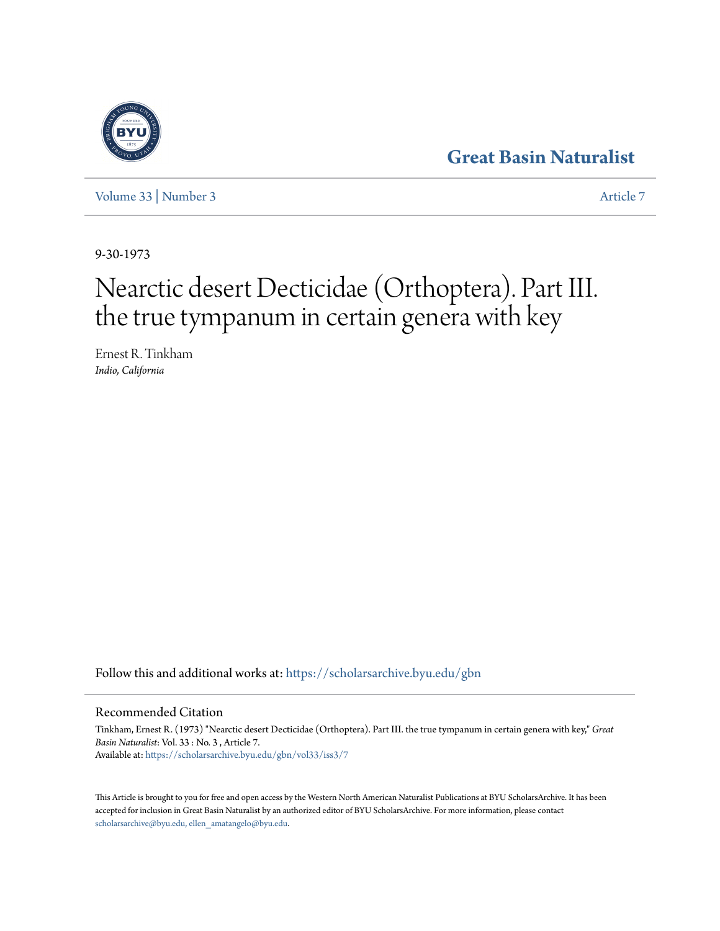## **[Great Basin Naturalist](https://scholarsarchive.byu.edu/gbn?utm_source=scholarsarchive.byu.edu%2Fgbn%2Fvol33%2Fiss3%2F7&utm_medium=PDF&utm_campaign=PDFCoverPages)**

[Volume 33](https://scholarsarchive.byu.edu/gbn/vol33?utm_source=scholarsarchive.byu.edu%2Fgbn%2Fvol33%2Fiss3%2F7&utm_medium=PDF&utm_campaign=PDFCoverPages) | [Number 3](https://scholarsarchive.byu.edu/gbn/vol33/iss3?utm_source=scholarsarchive.byu.edu%2Fgbn%2Fvol33%2Fiss3%2F7&utm_medium=PDF&utm_campaign=PDFCoverPages) [Article 7](https://scholarsarchive.byu.edu/gbn/vol33/iss3/7?utm_source=scholarsarchive.byu.edu%2Fgbn%2Fvol33%2Fiss3%2F7&utm_medium=PDF&utm_campaign=PDFCoverPages)

9-30-1973

# Nearctic desert Decticidae (Orthoptera). Part III. the true tympanum in certain genera with key

Ernest R. Tinkham *Indio, California*

Follow this and additional works at: [https://scholarsarchive.byu.edu/gbn](https://scholarsarchive.byu.edu/gbn?utm_source=scholarsarchive.byu.edu%2Fgbn%2Fvol33%2Fiss3%2F7&utm_medium=PDF&utm_campaign=PDFCoverPages)

### Recommended Citation

Tinkham, Ernest R. (1973) "Nearctic desert Decticidae (Orthoptera). Part III. the true tympanum in certain genera with key," *Great Basin Naturalist*: Vol. 33 : No. 3 , Article 7. Available at: [https://scholarsarchive.byu.edu/gbn/vol33/iss3/7](https://scholarsarchive.byu.edu/gbn/vol33/iss3/7?utm_source=scholarsarchive.byu.edu%2Fgbn%2Fvol33%2Fiss3%2F7&utm_medium=PDF&utm_campaign=PDFCoverPages)

This Article is brought to you for free and open access by the Western North American Naturalist Publications at BYU ScholarsArchive. It has been accepted for inclusion in Great Basin Naturalist by an authorized editor of BYU ScholarsArchive. For more information, please contact [scholarsarchive@byu.edu, ellen\\_amatangelo@byu.edu.](mailto:scholarsarchive@byu.edu,%20ellen_amatangelo@byu.edu)

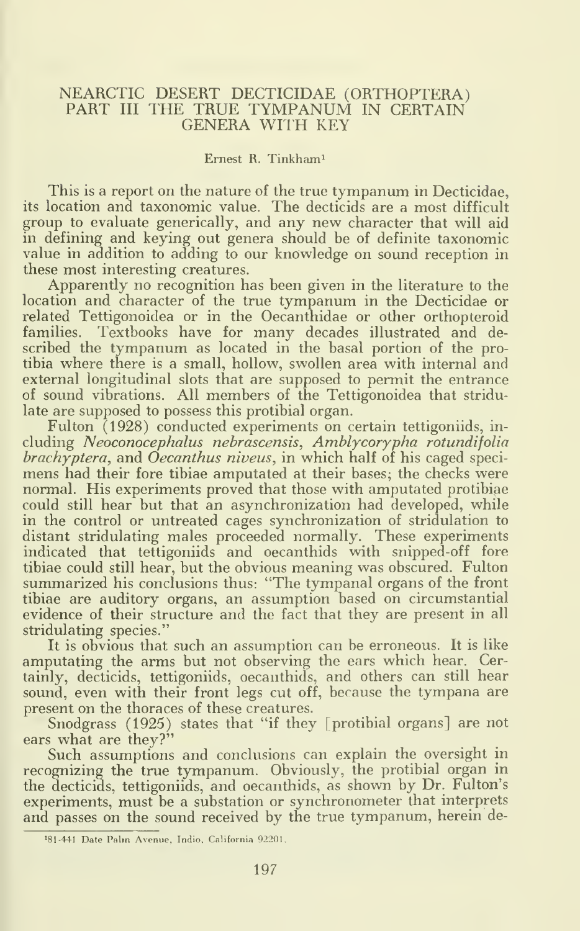#### NEARCTIC DESERT DECTICIDAE (ORTHOPTERA) PART III THE TRUE TYMPANUM IN CERTAIN GENERA WITH KEY

#### Ernest R. Tinkhami

This is a report on the nature of the true tympanum in Decticidae, its location and taxonomic value. The decticids are a most difficult group to evaluate generically, and any new character that will aid in defining and keying out genera should be of definite taxonomic value in addition to adding to our knowledge on sound reception in these most interesting creatures.

Apparently no recognition has been given in the literature to the location and character of the true tympanum in the Decticidae or related Tettigonoidea or in the Oecanthidae or other orthopteroid families. Textbooks have for many decades illustrated and de scribed the tympanum as located in the basal portion of the protibia where there is a small, hollow, swollen area with internal and external longitudinal slots that are supposed to permit the entrance of sound vibrations. All members of the Tettigonoidea that stridulate are supposed to possess this protibial organ.

Fulton (1928) conducted experiments on certain tettigoniids, including Neoconocephalus nebrascensis, Amblycorypha rotundifolia  ${branchy}$  ptera, and Oecanthus niveus, in which half of his caged specimens had their fore tibiae amputated at their bases; the checks were normal. His experiments proved that those with amputated protibiae could still hear but that an asynchronization had developed, while in the control or untreated cages synchronization of stridulation to distant stridulating males proceeded normally. These experiments indicated that tettigoniids and oecanthids with snipped-off fore tibiae could still hear, but the obvious meaning was obscured. Fulton summarized his conclusions thus: "The tympanal organs of the front tibiae are auditory organs, an assumption based on circumstantial evidence of their structure and the fact that they are present in all stridulating species."

It is obvious that such an assumption can be erroneous. It is like amputating the arms but not observing the ears which hear. Certainly, decticids, tettigoniids, oecanthids, and others can still hear sound, even with their front legs cut off, because the tympana are present on the thoraces of these creatures.

Snodgrass (1925) states that "if they [protibial organs] are not ears what are they?"

Such assumptions and conclusions can explain the oversight in recognizing the true tympanum. Obviously, the protibial organ in the decticids, tettigoniids, and oecanthids, as shown by Dr. Fulton's experiments, must be a substation or synchronometer that interprets and passes on the sound received by the true tympanum, herein de-

<sup>&#</sup>x27;81-441 Date Palm Avenue, Indio, California 92201,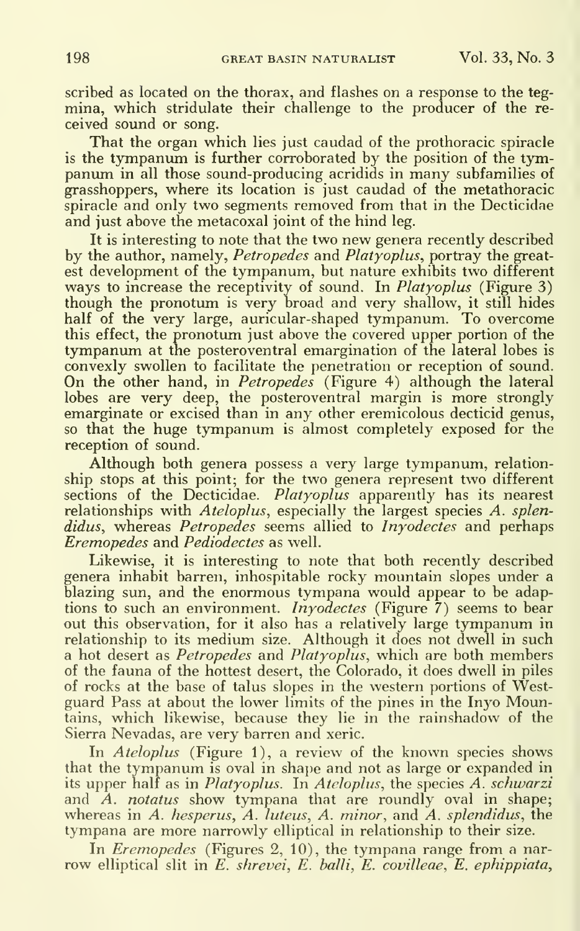scribed as located on the thorax, and flashes on a response to the tegmina, which stridulate their challenge to the producer of the re ceived sound or song.

That the organ which lies just caudad of the prothoracic spiracle is the tympanum is further corroborated by the position of the tympanum in all those sound-producing acridids in many subfamilies of grasshoppers, where its location is just caudad of the metathoracic spiracle and only two segments removed from that in the Decticidae and just above the metacoxal joint of the hind leg.

It is interesting to note that the two new genera recently described by the author, namely, *Petropedes* and *Platyoplus*, portray the greatest development of the tympanum, but nature exhibits two different ways to increase the receptivity of sound. In  $Platyoplus K$  (Figure 3) though the pronotum is very broad and very shallow, it still hides half of the very large, auricular-shaped tympanum. To overcome this effect, the pronotum just above the covered upper portion of the tympanum at the posteroventral emargination of the lateral lobes is convexly swollen to facilitate the penetration or reception of sound. On the other hand, in *Petropedes* (Figure 4) although the lateral lobes are very deep, the posteroventral margin is more strongly emarginate or excised than in any other eremicolous decticid genus, so that the huge tympanum is almost completely exposed for the reception of sound.

Although both genera possess a very large tympanum, relationship stops at this point; for the two genera represent two different sections of the Decticidae. Platyoplus apparently has its nearest relationships with Ateloplus, especially the largest species A. splendidus, whereas Petropedes seems allied to Invodectes and perhaps Eremopedes and Pediodectes as well.

Likewise, it is interesting to note that both recently described genera inhabit barren, inhospitable rocky mountain slopes under a blazing sun, and the enormous tympana would appear to be adaptions to such an environment. *Invodectes* (Figure  $\bar{7}$ ) seems to bear out this observation, for it also has <sup>a</sup> relatively large tympanum in relationship to its medium size. Although it does not dwell in such a hot desert as Petropedes and Platyoplus, which are both members of the fauna of the hottest desert, the Colorado, it does dwell in piles of rocks at the base of talus slopes in the western portions of Westguard Pass at about the lower limits of the pines in the Inyo Mountains, which likewise, because they lie in the rainshadow of the Sierra Nevadas, are very barren and xeric.

In *Ateloplus* (Figure 1), a review of the known species shows that the tympanum is oval in shape and not as large or expanded in its upper half as in *Platyoplus*. In *Ateloplus*, the species A. schwarzi and  $A$ . notatus show tympana that are roundly oval in shape; whereas in A. hesperus, A. luteus, A. minor, and A. splendidus, the tympana are more narrowly elliptical in relationship to their size.

In *Eremopedes* (Figures 2, 10), the tympana range from a narrow elliptical slit in  $E$ , shrevei,  $E$ , balli,  $E$ , covilleae,  $E$ , ephippiata,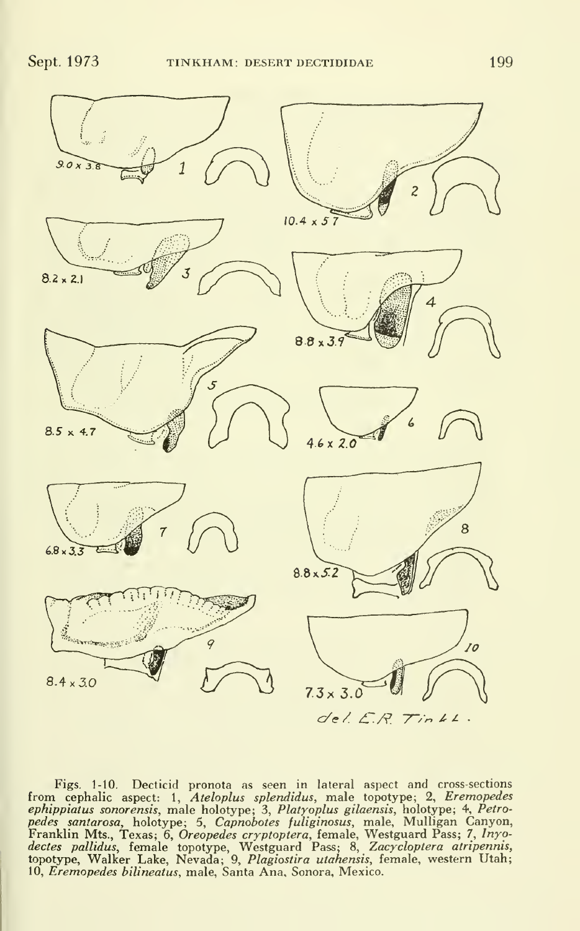

Figs. 1-10. Decticid pronota as seen in lateral aspect and cross-sections<br>from cephalic aspect: 1, Ateloplus splendidus, male topotype; 2, Eremopedes *ephippiatus sonorensis*, male holotype; 3, *Platyoplus gilaensis*, holotype; 4, *Petro-*<br>*pedes santarosa,* holotype; 5, Capnobot*es fuliginosus*, male, Mulligan Canyon, Franklin Mts., Texas; 6, *Oreopedes cryptoptera,* female, Westguard Pass; 7, *Inyo-*<br>*dectes pallidus, f*emale topotype, Westguard Pass; 8, *Zacycloptera atripennis,*<br>topotype, Walker Lake, Nevada; 9, *Plagiostira utahensi*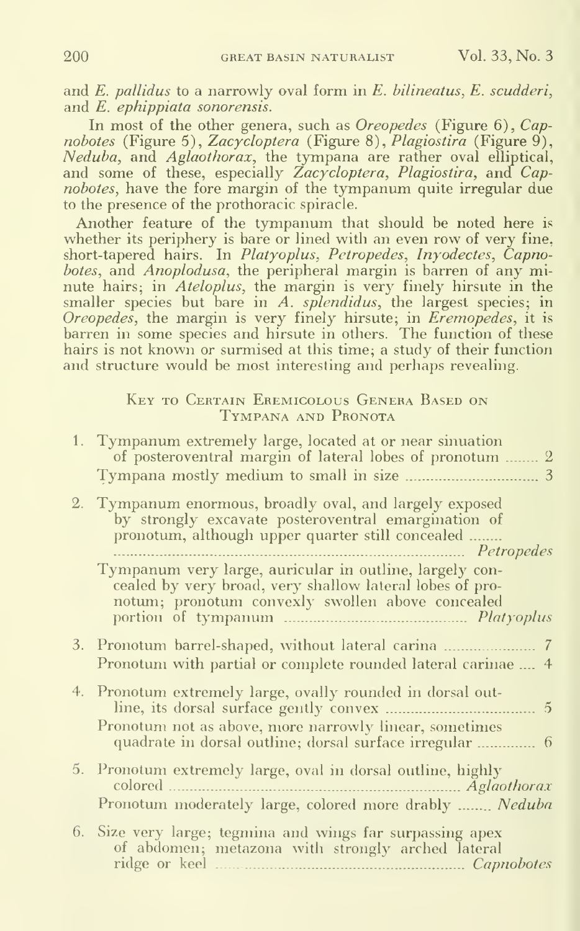and  $E$ . pallidus to a narrowly oval form in  $E$ . bilineatus,  $E$ . scudderi, and E. ephippiata sonorensis.

In most of the other genera, such as *Oreopedes* (Figure 6), Capnobotes (Figure 5), Zacycloptera (Figure 8), Plagiostira (Figure 9), Neduba, and Aglaothorax, the tympana are rather oval elliptical, and some of these, especially Zacycloptera, Plagiostira, and Capnobotes, have the fore margin of the tympanum quite irregular due to the presence of the prothoracic spiracle.

Another feature of the tympanum that should be noted here is whether its periphery is bare or lined with an even row of very fine, short-tapered hairs. In *Platyoplus, Petropedes, Inyodectes, Capno*botes, and Anoplodusa, the peripheral margin is barren of any minute hairs; in Ateloplus, the margin is very finely hirsute in the smaller species but bare in A. *splendidus*, the largest species; in Oreopedes, the margin is very finely hirsute; in Eremopedes, it is barren in some species and hirsute in others. The function of these hairs is not known or surmised at this time; a study of their function and structure would be most interesting and perhaps revealing.

#### Key to Certain Eremicolous Genera Based on Tympana and Pronota

| 1. Tympanum extremely large, located at or near sinuation<br>of posteroventral margin of lateral lobes of pronotum  2                                                                   |
|-----------------------------------------------------------------------------------------------------------------------------------------------------------------------------------------|
| 2. Tympanum enormous, broadly oval, and largely exposed<br>by strongly excavate posteroventral emargination of<br>pronotum, although upper quarter still concealed<br><i>Petropedes</i> |
| Tympanum very large, auricular in outline, largely con-<br>cealed by very broad, very shallow lateral lobes of pro-<br>notum; pronotum convexly swollen above concealed                 |
| 3. Pronotum barrel-shaped, without lateral carina<br>7<br>Pronotum with partial or complete rounded lateral carinae  4                                                                  |
| 4. Pronotum extremely large, ovally rounded in dorsal out-<br>$\tilde{5}$<br>Pronotum not as above, more narrowly linear, sometimes                                                     |
| 5. Pronotum extremely large, oval in dorsal outline, highly<br>Pronotum moderately large, colored more drably  Neduba                                                                   |
| 6. Size very large; tegmina and wings far surpassing apex<br>of abdomen; metazona with strongly arched lateral                                                                          |